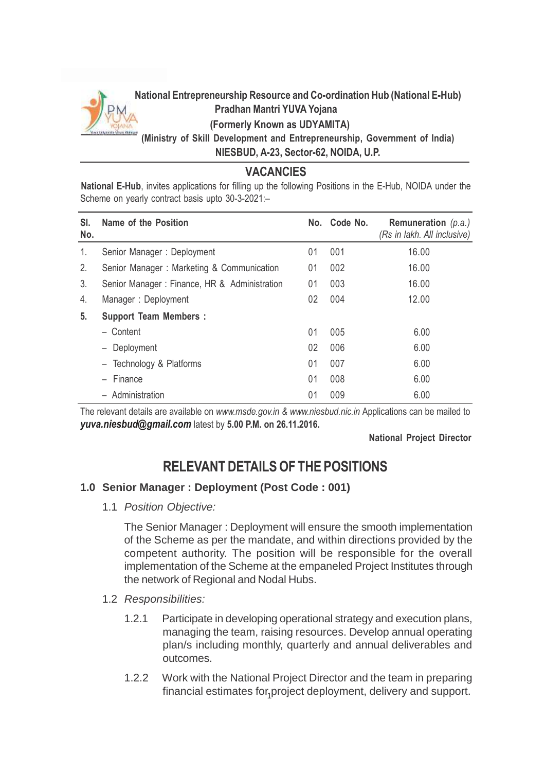

## **National Entrepreneurship Resource and Co-ordination Hub (National E-Hub) Pradhan Mantri YUVA Yojana (Formerly Known as UDYAMITA)**

**(Ministry of Skill Development and Entrepreneurship, Government of India) NIESBUD, A-23, Sector-62, NOIDA, U.P.**

## **VACANCIES**

**National E-Hub**, invites applications for filling up the following Positions in the E-Hub, NOIDA under the Scheme on yearly contract basis upto 30-3-2021:–

| SI.<br>No. | Name of the Position                         |    | No. Code No. | Remuneration $(p.a.)$<br>(Rs in lakh. All inclusive) |
|------------|----------------------------------------------|----|--------------|------------------------------------------------------|
| 1.         | Senior Manager: Deployment                   | 01 | 001          | 16.00                                                |
| 2.         | Senior Manager: Marketing & Communication    | 01 | 002          | 16.00                                                |
| 3.         | Senior Manager: Finance, HR & Administration | 01 | 003          | 16.00                                                |
| 4.         | Manager: Deployment                          | 02 | 004          | 12.00                                                |
| 5.         | <b>Support Team Members:</b>                 |    |              |                                                      |
|            | - Content                                    | 01 | 005          | 6.00                                                 |
|            | Deployment                                   | 02 | 006          | 6.00                                                 |
|            | - Technology & Platforms                     | 01 | 007          | 6.00                                                 |
|            | Finance                                      | 01 | 008          | 6.00                                                 |
|            | - Administration                             | 01 | 009          | 6.00                                                 |

The relevant details are available on *[www.msde.gov.in](http://www.msde.gov.in/) & [www.niesbud.nic.in](http://www.niesbud.nic.in/)* Applications can be mailed to *[yuva.niesbud@gmail.com](mailto:niesbud@gmail.com)* latest by **5.00 P.M. on 26.11.2016.**

**National Project Director**

# **RELEVANTDETAILSOF THE POSITIONS**

## **1.0 Senior Manager : Deployment (Post Code : 001)**

1.1 *Position Objective:*

The Senior Manager : Deployment will ensure the smooth implementation of the Scheme as per the mandate, and within directions provided by the competent authority. The position will be responsible for the overall implementation of the Scheme at the empaneled Project Institutes through the network of Regional and Nodal Hubs.

- 1.2 *Responsibilities:*
	- 1.2.1 Participate in developing operational strategy and execution plans, managing the team, raising resources. Develop annual operating plan/s including monthly, quarterly and annual deliverables and outcomes.
	- financial estimates for<sub>1</sub>project deployment, delivery and support. 1.2.2 Work with the National Project Director and the team in preparing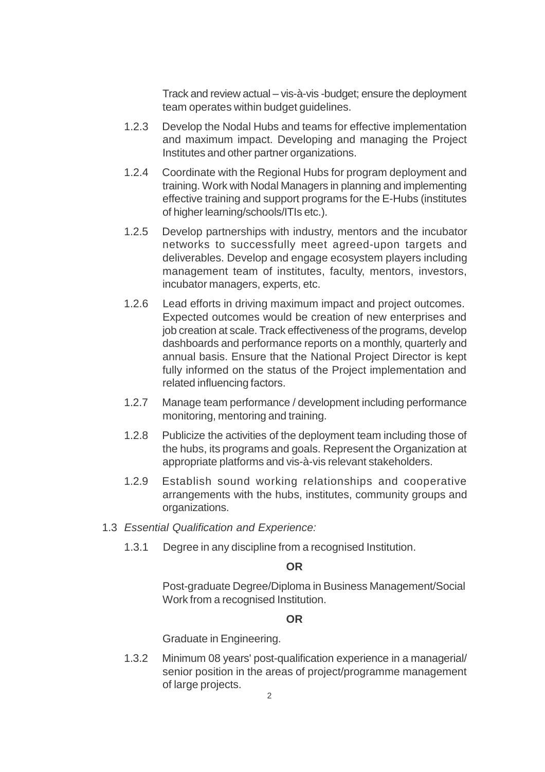Track and review actual – vis-à-vis -budget; ensure the deployment team operates within budget guidelines.

- 1.2.3 Develop the Nodal Hubs and teams for effective implementation and maximum impact. Developing and managing the Project Institutes and other partner organizations.
- 1.2.4 Coordinate with the Regional Hubs for program deployment and training. Work with Nodal Managers in planning and implementing effective training and support programs for the E-Hubs (institutes of higher learning/schools/ITIs etc.).
- 1.2.5 Develop partnerships with industry, mentors and the incubator networks to successfully meet agreed-upon targets and deliverables. Develop and engage ecosystem players including management team of institutes, faculty, mentors, investors, incubator managers, experts, etc.
- 1.2.6 Lead efforts in driving maximum impact and project outcomes. Expected outcomes would be creation of new enterprises and job creation at scale. Track effectiveness of the programs, develop dashboards and performance reports on a monthly, quarterly and annual basis. Ensure that the National Project Director is kept fully informed on the status of the Project implementation and related influencing factors.
- 1.2.7 Manage team performance / development including performance monitoring, mentoring and training.
- 1.2.8 Publicize the activities of the deployment team including those of the hubs, its programs and goals. Represent the Organization at appropriate platforms and vis-à-vis relevant stakeholders.
- 1.2.9 Establish sound working relationships and cooperative arrangements with the hubs, institutes, community groups and organizations.
- 1.3 *Essential Qualification and Experience:*
	- 1.3.1 Degree in any discipline from a recognised Institution.

#### **OR**

Post-graduate Degree/Diploma in Business Management/Social Work from a recognised Institution.

#### **OR**

Graduate in Engineering.

1.3.2 Minimum 08 years' post-qualification experience in a managerial/ senior position in the areas of project/programme management of large projects.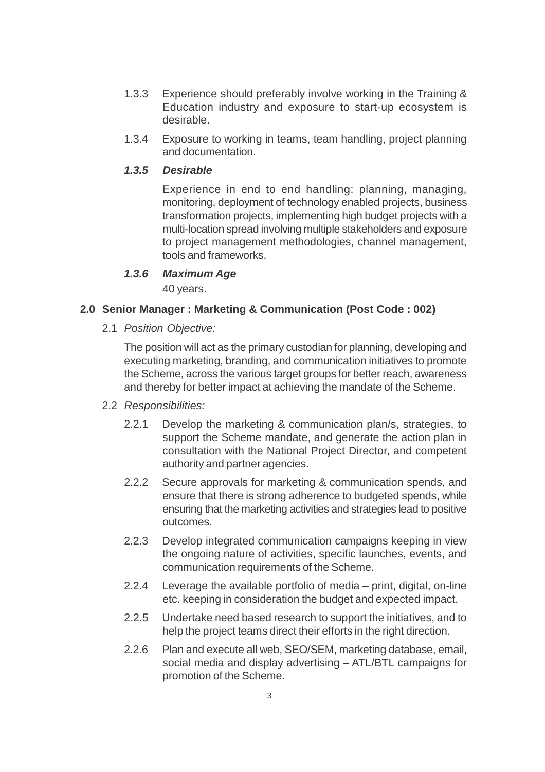- 1.3.3 Experience should preferably involve working in the Training & Education industry and exposure to start-up ecosystem is desirable.
- 1.3.4 Exposure to working in teams, team handling, project planning and documentation.

Experience in end to end handling: planning, managing, monitoring, deployment of technology enabled projects, business transformation projects, implementing high budget projects with a multi-location spread involving multiple stakeholders and exposure to project management methodologies, channel management, tools and frameworks.

#### *1.3.6 Maximum Age*

40 years.

#### **2.0 Senior Manager : Marketing & Communication (Post Code : 002)**

2.1 *Position Objective:*

The position will act as the primary custodian for planning, developing and executing marketing, branding, and communication initiatives to promote the Scheme, across the various target groups for better reach, awareness and thereby for better impact at achieving the mandate of the Scheme.

#### 2.2 *Responsibilities:*

- 2.2.1 Develop the marketing & communication plan/s, strategies, to support the Scheme mandate, and generate the action plan in consultation with the National Project Director, and competent authority and partner agencies.
- 2.2.2 Secure approvals for marketing & communication spends, and ensure that there is strong adherence to budgeted spends, while ensuring that the marketing activities and strategies lead to positive outcomes.
- 2.2.3 Develop integrated communication campaigns keeping in view the ongoing nature of activities, specific launches, events, and communication requirements of the Scheme.
- 2.2.4 Leverage the available portfolio of media print, digital, on-line etc. keeping in consideration the budget and expected impact.
- 2.2.5 Undertake need based research to support the initiatives, and to help the project teams direct their efforts in the right direction.
- 2.2.6 Plan and execute all web, SEO/SEM, marketing database, email, social media and display advertising – ATL/BTL campaigns for promotion of the Scheme.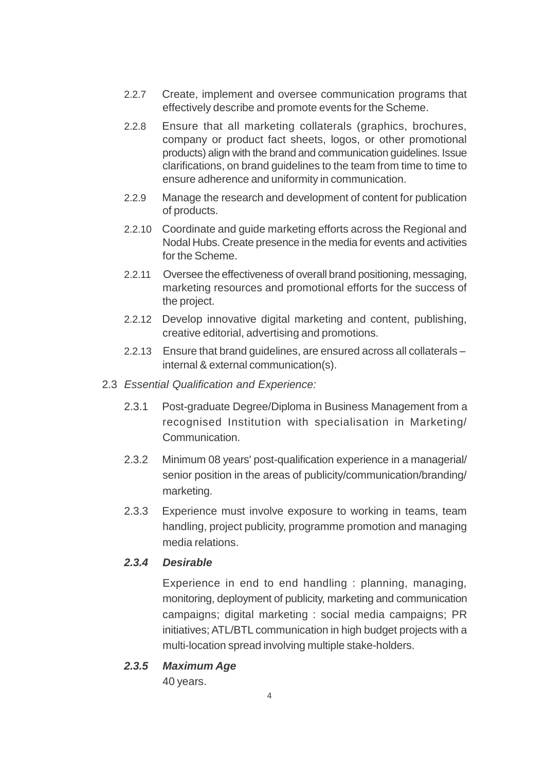- 2.2.7 Create, implement and oversee communication programs that effectively describe and promote events for the Scheme.
- 2.2.8 Ensure that all marketing collaterals (graphics, brochures, company or product fact sheets, logos, or other promotional products) align with the brand and communication guidelines. Issue clarifications, on brand guidelines to the team from time to time to ensure adherence and uniformity in communication.
- 2.2.9 Manage the research and development of content for publication of products.
- 2.2.10 Coordinate and guide marketing efforts across the Regional and Nodal Hubs. Create presence in the media for events and activities for the Scheme.
- 2.2.11 Oversee the effectiveness of overall brand positioning, messaging, marketing resources and promotional efforts for the success of the project.
- 2.2.12 Develop innovative digital marketing and content, publishing, creative editorial, advertising and promotions.
- 2.2.13 Ensure that brand guidelines, are ensured across all collaterals internal & external communication(s).
- 2.3 *Essential Qualification and Experience:*
	- 2.3.1 Post-graduate Degree/Diploma in Business Management from a recognised Institution with specialisation in Marketing/ Communication.
	- 2.3.2 Minimum 08 years' post-qualification experience in a managerial/ senior position in the areas of publicity/communication/branding/ marketing.
	- 2.3.3 Experience must involve exposure to working in teams, team handling, project publicity, programme promotion and managing media relations.

Experience in end to end handling : planning, managing, monitoring, deployment of publicity, marketing and communication campaigns; digital marketing : social media campaigns; PR initiatives;ATL/BTL communication in high budget projects with a multi-location spread involving multiple stake-holders.

*2.3.5 Maximum Age*

40 years.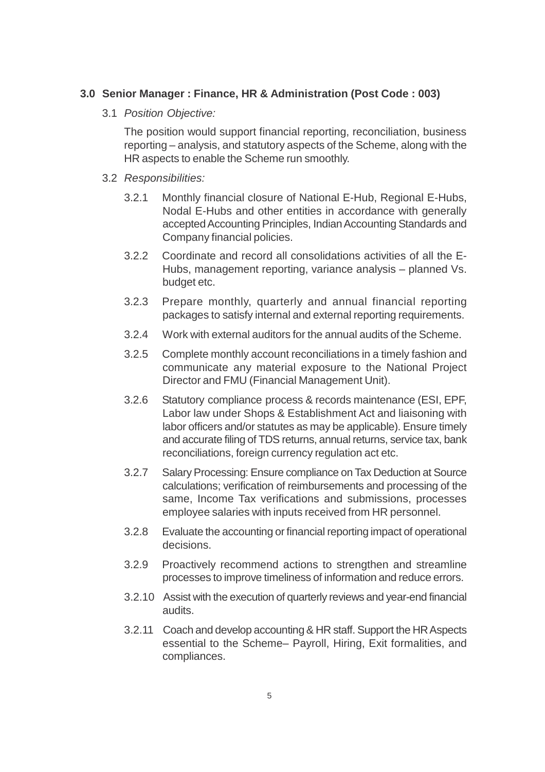#### **3.0 Senior Manager : Finance, HR & Administration (Post Code : 003)**

3.1 *Position Objective:*

The position would support financial reporting, reconciliation, business reporting – analysis, and statutory aspects of the Scheme, along with the HR aspects to enable the Scheme run smoothly.

- 3.2 *Responsibilities:*
	- 3.2.1 Monthly financial closure of National E-Hub, Regional E-Hubs, Nodal E-Hubs and other entities in accordance with generally accepted Accounting Principles, Indian Accounting Standards and Company financial policies.
	- 3.2.2 Coordinate and record all consolidations activities of all the E-Hubs, management reporting, variance analysis – planned Vs. budget etc.
	- 3.2.3 Prepare monthly, quarterly and annual financial reporting packages to satisfy internal and external reporting requirements.
	- 3.2.4 Work with external auditors for the annual audits of the Scheme.
	- 3.2.5 Complete monthly account reconciliations in a timely fashion and communicate any material exposure to the National Project Director and FMU (Financial Management Unit).
	- 3.2.6 Statutory compliance process & records maintenance (ESI, EPF, Labor law under Shops & Establishment Act and liaisoning with labor officers and/or statutes as may be applicable). Ensure timely and accurate filing of TDS returns, annual returns, service tax, bank reconciliations, foreign currency regulation act etc.
	- 3.2.7 Salary Processing: Ensure compliance on Tax Deduction at Source calculations; verification of reimbursements and processing of the same, Income Tax verifications and submissions, processes employee salaries with inputs received from HR personnel.
	- 3.2.8 Evaluate the accounting or financial reporting impact of operational decisions.
	- 3.2.9 Proactively recommend actions to strengthen and streamline processes to improve timeliness of information and reduce errors.
	- 3.2.10 Assist with the execution of quarterly reviews and year-end financial audits.
	- 3.2.11 Coach and develop accounting& HR staff. Support the HRAspects essential to the Scheme– Payroll, Hiring, Exit formalities, and compliances.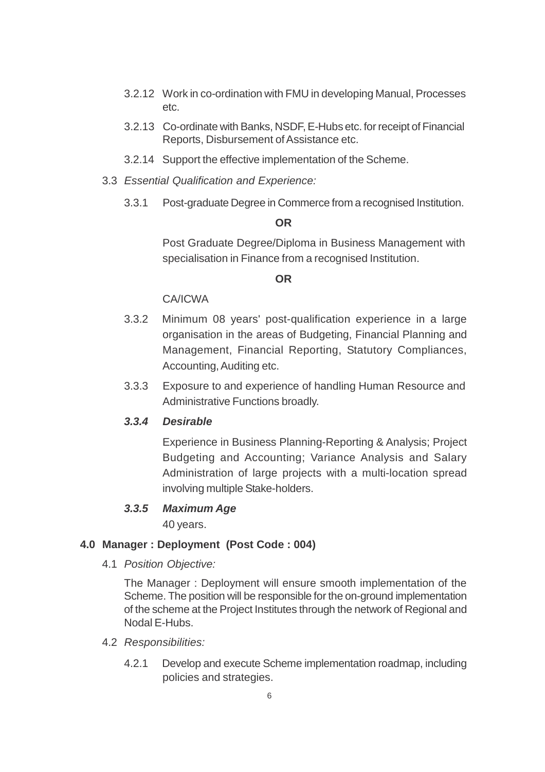- 3.2.12 Work in co-ordination with FMU in developing Manual, Processes etc.
- 3.2.13 Co-ordinate with Banks, NSDF,E-Hubs etc. for receipt of Financial Reports, Disbursement of Assistance etc.
- 3.2.14 Support the effective implementation of the Scheme.
- 3.3 *Essential Qualification and Experience:*
	- 3.3.1 Post-graduate Degree in Commerce from a recognised Institution.

#### **OR**

Post Graduate Degree/Diploma in Business Management with specialisation in Finance from a recognised Institution.

#### **OR**

#### CA/ICWA

- 3.3.2 Minimum 08 years' post-qualification experience in a large organisation in the areas of Budgeting, Financial Planning and Management, Financial Reporting, Statutory Compliances, Accounting, Auditing etc.
- 3.3.3 Exposure to and experience of handling Human Resource and Administrative Functions broadly.

#### *3.3.4 Desirable*

Experience in Business Planning-Reporting & Analysis; Project Budgeting and Accounting; Variance Analysis and Salary Administration of large projects with a multi-location spread involving multiple Stake-holders.

#### *3.3.5 Maximum Age*

40 years.

#### **4.0 Manager : Deployment (Post Code : 004)**

4.1 *Position Objective:*

The Manager : Deployment will ensure smooth implementation of the Scheme. The position will be responsible for the on-ground implementation of the scheme at the Project Institutes through the network of Regional and Nodal E-Hubs.

- 4.2 *Responsibilities:*
	- 4.2.1 Develop and execute Scheme implementation roadmap, including policies and strategies.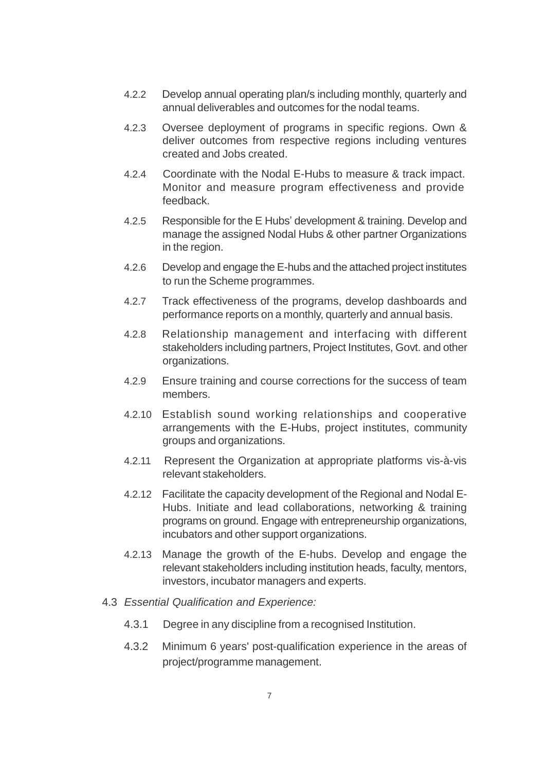- 4.2.2 Develop annual operating plan/s including monthly, quarterly and annual deliverables and outcomes for the nodal teams.
- 4.2.3 Oversee deployment of programs in specific regions. Own & deliver outcomes from respective regions including ventures created and Jobs created.
- 4.2.4 Coordinate with the Nodal E-Hubs to measure & track impact. Monitor and measure program effectiveness and provide feedback.
- 4.2.5 Responsible for the E Hubs' development & training. Develop and manage the assigned Nodal Hubs & other partner Organizations in the region.
- 4.2.6 Develop and engage the E-hubs and the attached project institutes to run the Scheme programmes.
- 4.2.7 Track effectiveness of the programs, develop dashboards and performance reports on a monthly, quarterly and annual basis.
- 4.2.8 Relationship management and interfacing with different stakeholders including partners, Project Institutes, Govt. and other organizations.
- 4.2.9 Ensure training and course corrections for the success of team members.
- 4.2.10 Establish sound working relationships and cooperative arrangements with the E-Hubs, project institutes, community groups and organizations.
- 4.2.11 Represent the Organization at appropriate platforms vis-à-vis relevant stakeholders.
- 4.2.12 Facilitate the capacity development of the Regional and Nodal E-Hubs. Initiate and lead collaborations, networking & training programs on ground. Engage with entrepreneurship organizations, incubators and other support organizations.
- 4.2.13 Manage the growth of the E-hubs. Develop and engage the relevant stakeholders including institution heads, faculty, mentors, investors, incubator managers and experts.
- 4.3 *Essential Qualification and Experience:*
	- 4.3.1 Degree in any discipline from a recognised Institution.
	- 4.3.2 Minimum 6 years' post-qualification experience in the areas of project/programme management.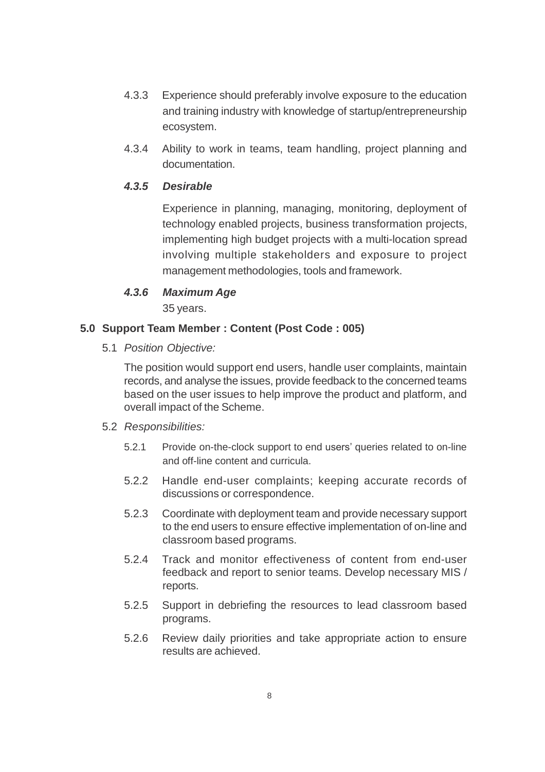- 4.3.3 Experience should preferably involve exposure to the education and training industry with knowledge of startup/entrepreneurship ecosystem.
- 4.3.4 Ability to work in teams, team handling, project planning and documentation.

Experience in planning, managing, monitoring, deployment of technology enabled projects, business transformation projects, implementing high budget projects with a multi-location spread involving multiple stakeholders and exposure to project management methodologies, tools and framework.

#### *4.3.6 Maximum Age*

35 years.

#### **5.0 Support Team Member : Content (Post Code : 005)**

5.1 *Position Objective:*

The position would support end users, handle user complaints, maintain records, and analyse the issues, provide feedback to the concerned teams based on the user issues to help improve the product and platform, and overall impact of the Scheme.

#### 5.2 *Responsibilities:*

- 5.2.1 Provide on-the-clock support to end users' queries related to on-line and off-line content and curricula.
- 5.2.2 Handle end-user complaints; keeping accurate records of discussions or correspondence.
- 5.2.3 Coordinate with deployment team and provide necessary support to the end users to ensure effective implementation of on-line and classroom based programs.
- 5.2.4 Track and monitor effectiveness of content from end-user feedback and report to senior teams. Develop necessary MIS / reports.
- 5.2.5 Support in debriefing the resources to lead classroom based programs.
- 5.2.6 Review daily priorities and take appropriate action to ensure results are achieved.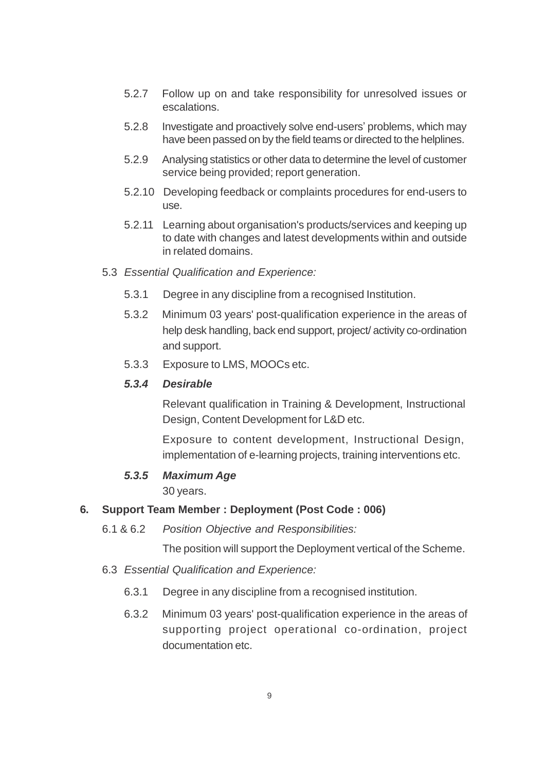- 5.2.7 Follow up on and take responsibility for unresolved issues or escalations.
- 5.2.8 Investigate and proactively solve end-users' problems, which may have been passed on by the field teams or directed to the helplines.
- 5.2.9 Analysing statistics or other data to determine the level of customer service being provided; report generation.
- 5.2.10 Developing feedback or complaints procedures for end-users to use.
- 5.2.11 Learning about organisation's products/services and keeping up to date with changes and latest developments within and outside in related domains.
- 5.3 *Essential Qualification and Experience:*
	- 5.3.1 Degree in any discipline from a recognised Institution.
	- 5.3.2 Minimum 03 years' post-qualification experience in the areas of help desk handling, back end support, project/ activity co-ordination and support.
	- 5.3.3 Exposure to LMS, MOOCs etc.

Relevant qualification in Training & Development, Instructional Design, Content Development for L&D etc.

Exposure to content development, Instructional Design, implementation of e-learning projects, training interventions etc.

#### *5.3.5 Maximum Age*

30 years.

#### **6. Support Team Member : Deployment (Post Code : 006)**

6.1 & 6.2 *Position Objective and Responsibilities:*

The position will support the Deployment vertical of the Scheme.

- 6.3 *Essential Qualification and Experience:*
	- 6.3.1 Degree in any discipline from a recognised institution.
	- 6.3.2 Minimum 03 years' post-qualification experience in the areas of supporting project operational co-ordination, project documentation etc.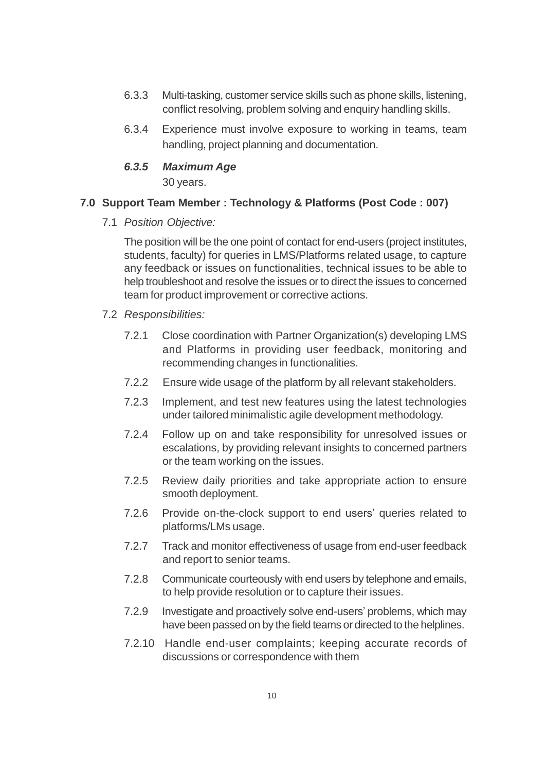- 6.3.3 Multi-tasking, customer service skills such as phone skills, listening, conflict resolving, problem solving and enquiry handling skills.
- 6.3.4 Experience must involve exposure to working in teams, team handling, project planning and documentation.

#### *6.3.5 Maximum Age*

30 years.

#### **7.0 Support Team Member : Technology & Platforms (Post Code : 007)**

7.1 *Position Objective:*

The position will be the one point of contact for end-users (project institutes, students, faculty) for queries in LMS/Platforms related usage, to capture any feedback or issues on functionalities, technical issues to be able to help troubleshoot and resolve the issues or to direct the issues to concerned team for product improvement or corrective actions.

- 7.2 *Responsibilities:*
	- 7.2.1 Close coordination with Partner Organization(s) developing LMS and Platforms in providing user feedback, monitoring and recommending changes in functionalities.
	- 7.2.2 Ensure wide usage of the platform by all relevant stakeholders.
	- 7.2.3 Implement, and test new features using the latest technologies under tailored minimalistic agile development methodology.
	- 7.2.4 Follow up on and take responsibility for unresolved issues or escalations, by providing relevant insights to concerned partners or the team working on the issues.
	- 7.2.5 Review daily priorities and take appropriate action to ensure smooth deployment.
	- 7.2.6 Provide on-the-clock support to end users' queries related to platforms/LMs usage.
	- 7.2.7 Track and monitor effectiveness of usage from end-user feedback and report to senior teams.
	- 7.2.8 Communicate courteously with end users by telephone and emails, to help provide resolution or to capture their issues.
	- 7.2.9 Investigate and proactively solve end-users' problems, which may have been passed on by the field teams or directed to the helplines.
	- 7.2.10 Handle end-user complaints; keeping accurate records of discussions or correspondence with them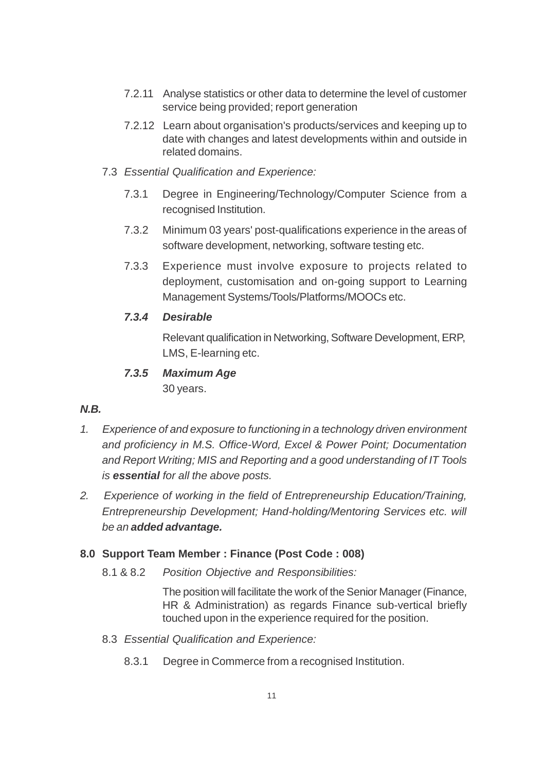- 7.2.11 Analyse statistics or other data to determine the level of customer service being provided; report generation
- 7.2.12 Learn about organisation's products/services and keeping up to date with changes and latest developments within and outside in related domains.
- 7.3 *Essential Qualification and Experience:*
	- 7.3.1 Degree in Engineering/Technology/Computer Science from a recognised Institution.
	- 7.3.2 Minimum 03 years' post-qualifications experience in the areas of software development, networking, software testing etc.
	- 7.3.3 Experience must involve exposure to projects related to deployment, customisation and on-going support to Learning Management Systems/Tools/Platforms/MOOCs etc.

Relevant qualification in Networking, Software Development, ERP, LMS, E-learning etc.

## *7.3.5 Maximum Age*

30 years.

## *N.B.*

- *1. Experience of and exposure to functioning in a technology driven environment and proficiency in M.S. Office-Word, Excel & Power Point; Documentation and Report Writing; MIS and Reporting and a good understanding of IT Tools is essential for all the above posts.*
- *2. Experience of working in the field of Entrepreneurship Education/Training, Entrepreneurship Development; Hand-holding/Mentoring Services etc. will be an added advantage.*

## **8.0 Support Team Member : Finance (Post Code : 008)**

8.1 & 8.2 *Position Objective and Responsibilities:*

The position will facilitate the work of the Senior Manager (Finance, HR & Administration) as regards Finance sub-vertical briefly touched upon in the experience required for the position.

- 8.3 *Essential Qualification and Experience:*
	- 8.3.1 Degree in Commerce from a recognised Institution.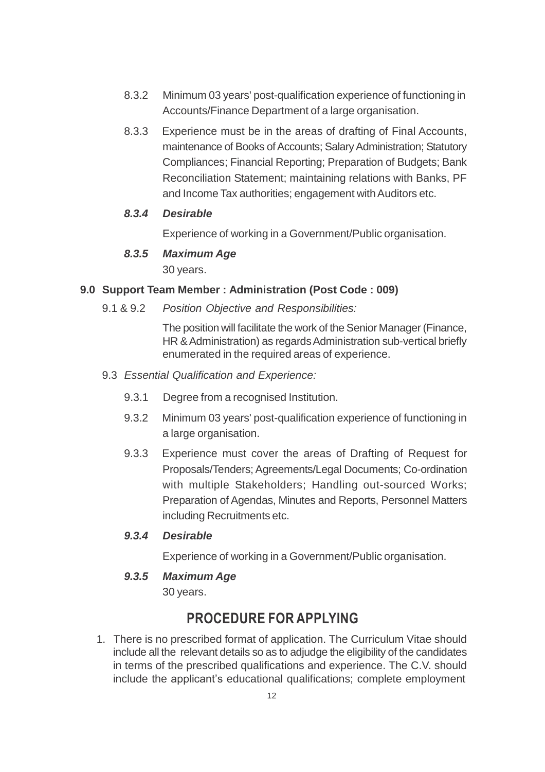- 8.3.2 Minimum 03 years' post-qualification experience of functioning in Accounts/Finance Department of a large organisation.
- 8.3.3 Experience must be in the areas of drafting of Final Accounts, maintenance of Books of Accounts; Salary Administration; Statutory Compliances; Financial Reporting; Preparation of Budgets; Bank Reconciliation Statement; maintaining relations with Banks, PF and Income Tax authorities; engagement with Auditors etc.

Experience of working in a Government/Public organisation.

## *8.3.5 Maximum Age*

30 years.

#### **9.0 Support Team Member : Administration (Post Code : 009)**

9.1 & 9.2 *Position Objective and Responsibilities:*

The position will facilitate the work of the Senior Manager (Finance, HR & Administration) as regards Administration sub-vertical briefly enumerated in the required areas of experience.

- 9.3 *Essential Qualification and Experience:*
	- 9.3.1 Degree from a recognised Institution.
	- 9.3.2 Minimum 03 years' post-qualification experience of functioning in a large organisation.
	- 9.3.3 Experience must cover the areas of Drafting of Request for Proposals/Tenders; Agreements/Legal Documents; Co-ordination with multiple Stakeholders; Handling out-sourced Works; Preparation of Agendas, Minutes and Reports, Personnel Matters including Recruitments etc.

#### *9.3.4 Desirable*

Experience of working in a Government/Public organisation.

## *9.3.5 Maximum Age*

30 years.

## **PROCEDURE FOR APPLYING**

1. There is no prescribed format of application. The Curriculum Vitae should include all the relevant details so as to adjudge the eligibility of the candidates in terms of the prescribed qualifications and experience. The C.V. should include the applicant's educational qualifications; complete employment